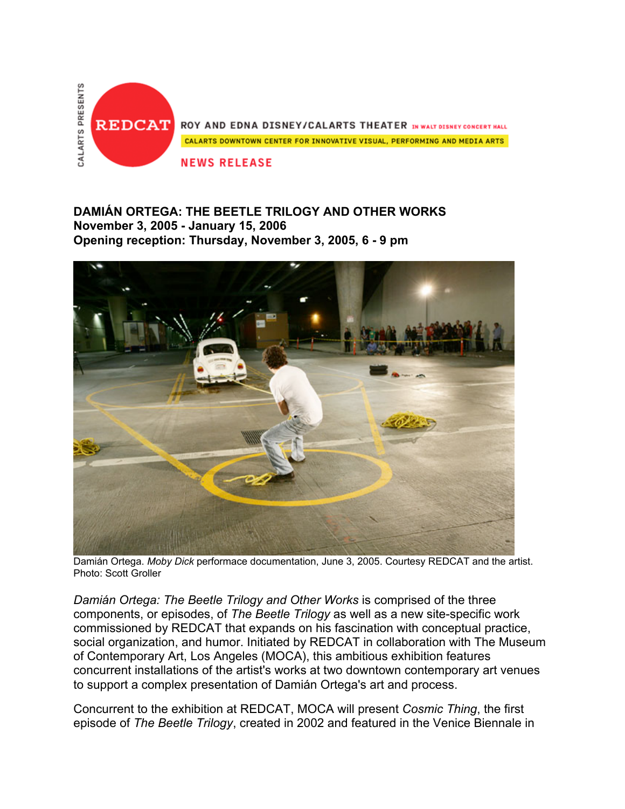

## **DAMIÁN ORTEGA: THE BEETLE TRILOGY AND OTHER WORKS November 3, 2005 - January 15, 2006 Opening reception: Thursday, November 3, 2005, 6 - 9 pm**



Damián Ortega. *Moby Dick* performace documentation, June 3, 2005. Courtesy REDCAT and the artist. Photo: Scott Groller

*Damián Ortega: The Beetle Trilogy and Other Works* is comprised of the three components, or episodes, of *The Beetle Trilogy* as well as a new site-specific work commissioned by REDCAT that expands on his fascination with conceptual practice, social organization, and humor. Initiated by REDCAT in collaboration with The Museum of Contemporary Art, Los Angeles (MOCA), this ambitious exhibition features concurrent installations of the artist's works at two downtown contemporary art venues to support a complex presentation of Damián Ortega's art and process.

Concurrent to the exhibition at REDCAT, MOCA will present *Cosmic Thing*, the first episode of *The Beetle Trilogy*, created in 2002 and featured in the Venice Biennale in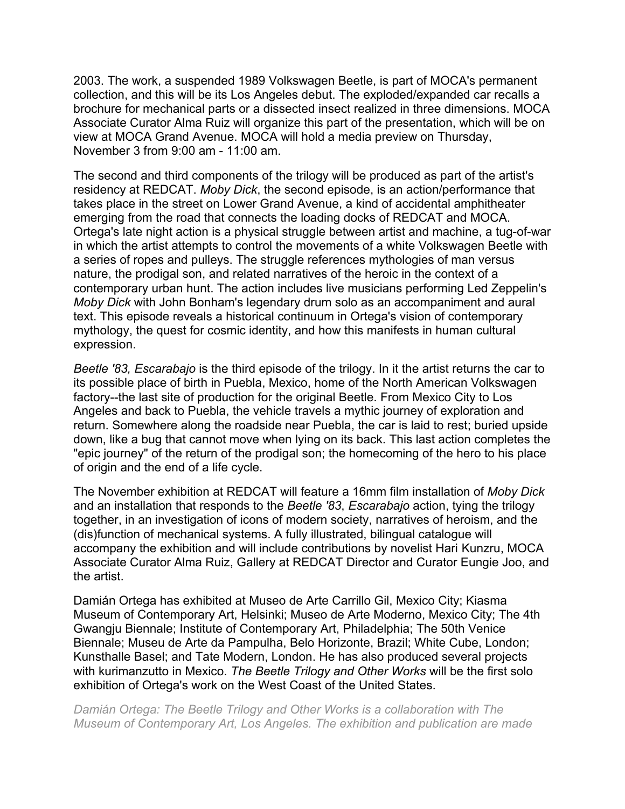2003. The work, a suspended 1989 Volkswagen Beetle, is part of MOCA's permanent collection, and this will be its Los Angeles debut. The exploded/expanded car recalls a brochure for mechanical parts or a dissected insect realized in three dimensions. MOCA Associate Curator Alma Ruiz will organize this part of the presentation, which will be on view at MOCA Grand Avenue. MOCA will hold a media preview on Thursday, November 3 from 9:00 am - 11:00 am.

The second and third components of the trilogy will be produced as part of the artist's residency at REDCAT. *Moby Dick*, the second episode, is an action/performance that takes place in the street on Lower Grand Avenue, a kind of accidental amphitheater emerging from the road that connects the loading docks of REDCAT and MOCA. Ortega's late night action is a physical struggle between artist and machine, a tug-of-war in which the artist attempts to control the movements of a white Volkswagen Beetle with a series of ropes and pulleys. The struggle references mythologies of man versus nature, the prodigal son, and related narratives of the heroic in the context of a contemporary urban hunt. The action includes live musicians performing Led Zeppelin's *Moby Dick* with John Bonham's legendary drum solo as an accompaniment and aural text. This episode reveals a historical continuum in Ortega's vision of contemporary mythology, the quest for cosmic identity, and how this manifests in human cultural expression.

*Beetle '83, Escarabajo* is the third episode of the trilogy. In it the artist returns the car to its possible place of birth in Puebla, Mexico, home of the North American Volkswagen factory--the last site of production for the original Beetle. From Mexico City to Los Angeles and back to Puebla, the vehicle travels a mythic journey of exploration and return. Somewhere along the roadside near Puebla, the car is laid to rest; buried upside down, like a bug that cannot move when lying on its back. This last action completes the "epic journey" of the return of the prodigal son; the homecoming of the hero to his place of origin and the end of a life cycle.

The November exhibition at REDCAT will feature a 16mm film installation of *Moby Dick* and an installation that responds to the *Beetle '83*, *Escarabajo* action, tying the trilogy together, in an investigation of icons of modern society, narratives of heroism, and the (dis)function of mechanical systems. A fully illustrated, bilingual catalogue will accompany the exhibition and will include contributions by novelist Hari Kunzru, MOCA Associate Curator Alma Ruiz, Gallery at REDCAT Director and Curator Eungie Joo, and the artist.

Damián Ortega has exhibited at Museo de Arte Carrillo Gil, Mexico City; Kiasma Museum of Contemporary Art, Helsinki; Museo de Arte Moderno, Mexico City; The 4th Gwangju Biennale; Institute of Contemporary Art, Philadelphia; The 50th Venice Biennale; Museu de Arte da Pampulha, Belo Horizonte, Brazil; White Cube, London; Kunsthalle Basel; and Tate Modern, London. He has also produced several projects with kurimanzutto in Mexico. *The Beetle Trilogy and Other Works* will be the first solo exhibition of Ortega's work on the West Coast of the United States.

*Damián Ortega: The Beetle Trilogy and Other Works is a collaboration with The Museum of Contemporary Art, Los Angeles. The exhibition and publication are made*